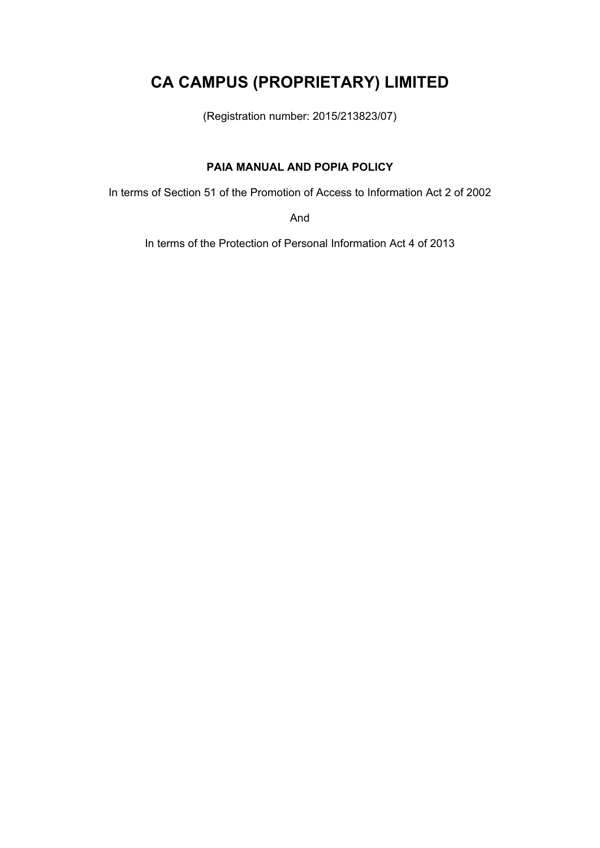# **CA CAMPUS (PROPRIETARY) LIMITED**

(Registration number: 2015/213823/07)

# **PAIA MANUAL AND POPIA POLICY**

In terms of Section 51 of the Promotion of Access to Information Act 2 of 2002

And

In terms of the Protection of Personal Information Act 4 of 2013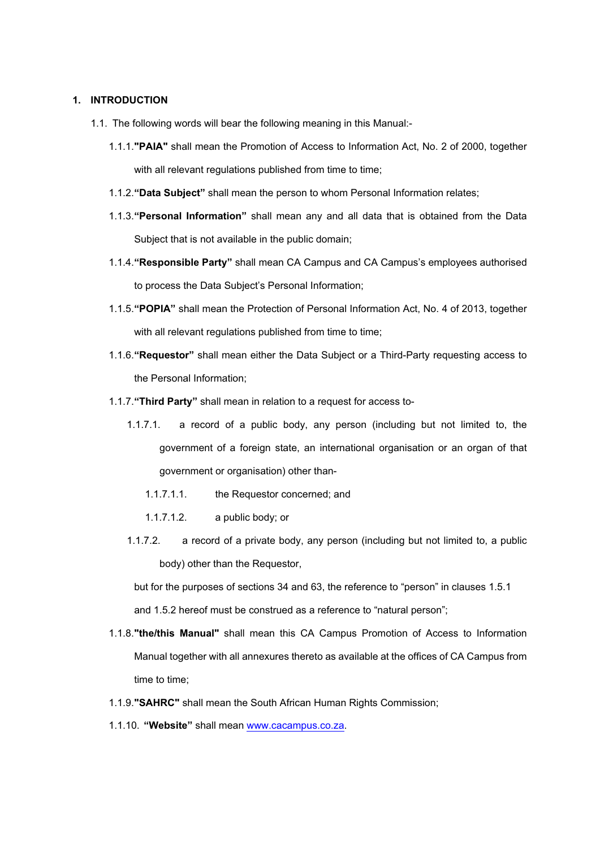#### **1. INTRODUCTION**

- 1.1. The following words will bear the following meaning in this Manual:-
	- 1.1.1.**"PAIA"** shall mean the Promotion of Access to Information Act, No. 2 of 2000, together with all relevant regulations published from time to time;
	- 1.1.2.**"Data Subject"** shall mean the person to whom Personal Information relates;
	- 1.1.3.**"Personal Information"** shall mean any and all data that is obtained from the Data Subject that is not available in the public domain;
	- 1.1.4.**"Responsible Party"** shall mean CA Campus and CA Campus's employees authorised to process the Data Subject's Personal Information;
	- 1.1.5.**"POPIA"** shall mean the Protection of Personal Information Act, No. 4 of 2013, together with all relevant regulations published from time to time;
	- 1.1.6.**"Requestor"** shall mean either the Data Subject or a Third-Party requesting access to the Personal Information;
	- 1.1.7.**"Third Party"** shall mean in relation to a request for access to-
		- 1.1.7.1. a record of a public body, any person (including but not limited to, the government of a foreign state, an international organisation or an organ of that government or organisation) other than-
			- 1.1.7.1.1. the Requestor concerned; and
			- 1.1.7.1.2. a public body; or
		- 1.1.7.2. a record of a private body, any person (including but not limited to, a public body) other than the Requestor,

but for the purposes of sections 34 and 63, the reference to "person" in clauses 1.5.1 and 1.5.2 hereof must be construed as a reference to "natural person";

- 1.1.8.**"the/this Manual"** shall mean this CA Campus Promotion of Access to Information Manual together with all annexures thereto as available at the offices of CA Campus from time to time;
- 1.1.9.**"SAHRC"** shall mean the South African Human Rights Commission;
- 1.1.10. **"Website"** shall mean [www.cacampus.co.za.](http://www.cacampus.co.za)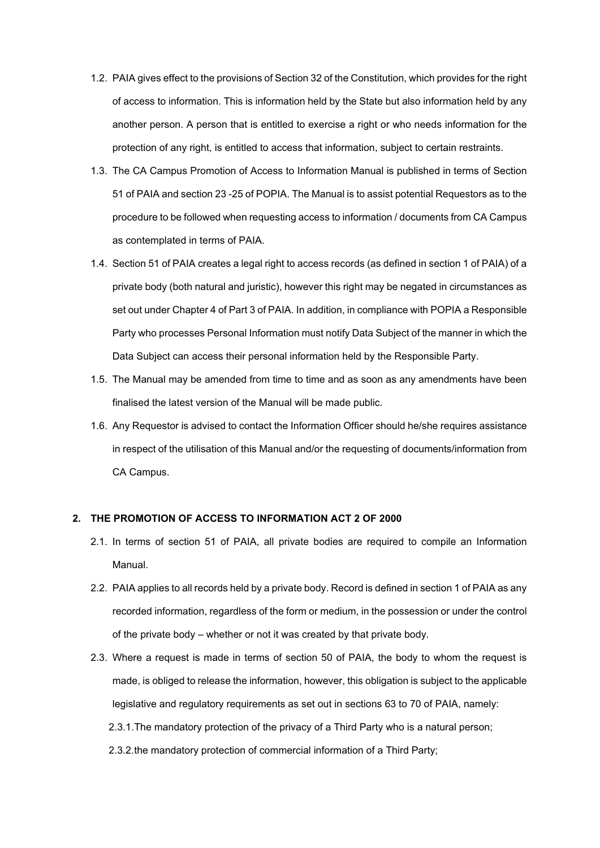- 1.2. PAIA gives effect to the provisions of Section 32 of the Constitution, which provides for the right of access to information. This is information held by the State but also information held by any another person. A person that is entitled to exercise a right or who needs information for the protection of any right, is entitled to access that information, subject to certain restraints.
- 1.3. The CA Campus Promotion of Access to Information Manual is published in terms of Section 51 of PAIA and section 23 -25 of POPIA. The Manual is to assist potential Requestors as to the procedure to be followed when requesting access to information / documents from CA Campus as contemplated in terms of PAIA.
- 1.4. Section 51 of PAIA creates a legal right to access records (as defined in section 1 of PAIA) of a private body (both natural and juristic), however this right may be negated in circumstances as set out under Chapter 4 of Part 3 of PAIA. In addition, in compliance with POPIA a Responsible Party who processes Personal Information must notify Data Subject of the manner in which the Data Subject can access their personal information held by the Responsible Party.
- 1.5. The Manual may be amended from time to time and as soon as any amendments have been finalised the latest version of the Manual will be made public.
- 1.6. Any Requestor is advised to contact the Information Officer should he/she requires assistance in respect of the utilisation of this Manual and/or the requesting of documents/information from CA Campus.

#### **2. THE PROMOTION OF ACCESS TO INFORMATION ACT 2 OF 2000**

- 2.1. In terms of section 51 of PAIA, all private bodies are required to compile an Information Manual.
- 2.2. PAIA applies to all records held by a private body. Record is defined in section 1 of PAIA as any recorded information, regardless of the form or medium, in the possession or under the control of the private body – whether or not it was created by that private body.
- 2.3. Where a request is made in terms of section 50 of PAIA, the body to whom the request is made, is obliged to release the information, however, this obligation is subject to the applicable legislative and regulatory requirements as set out in sections 63 to 70 of PAIA, namely:
	- 2.3.1.The mandatory protection of the privacy of a Third Party who is a natural person;

### 2.3.2.the mandatory protection of commercial information of a Third Party;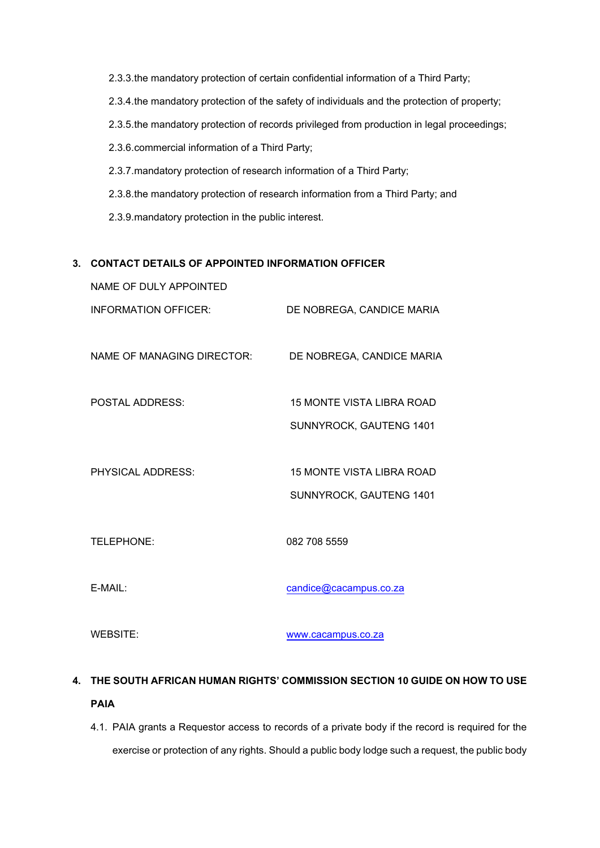2.3.3.the mandatory protection of certain confidential information of a Third Party; 2.3.4.the mandatory protection of the safety of individuals and the protection of property; 2.3.5.the mandatory protection of records privileged from production in legal proceedings; 2.3.6.commercial information of a Third Party; 2.3.7.mandatory protection of research information of a Third Party; 2.3.8.the mandatory protection of research information from a Third Party; and

2.3.9.mandatory protection in the public interest.

### **3. CONTACT DETAILS OF APPOINTED INFORMATION OFFICER**

| NAME OF DULY APPOINTED      |                                  |
|-----------------------------|----------------------------------|
| <b>INFORMATION OFFICER:</b> | DE NOBREGA, CANDICE MARIA        |
| NAME OF MANAGING DIRECTOR:  | DE NOBREGA, CANDICE MARIA        |
| POSTAL ADDRESS:             | 15 MONTE VISTA LIBRA ROAD        |
|                             | SUNNYROCK, GAUTENG 1401          |
|                             |                                  |
| <b>PHYSICAL ADDRESS:</b>    | <b>15 MONTE VISTA LIBRA ROAD</b> |
|                             | SUNNYROCK, GAUTENG 1401          |
| TELEPHONE:                  | 082 708 5559                     |
| $E-MAIL:$                   | candice@cacampus.co.za           |
| <b>WEBSITE:</b>             | www.cacampus.co.za               |

# **4. THE SOUTH AFRICAN HUMAN RIGHTS' COMMISSION SECTION 10 GUIDE ON HOW TO USE PAIA**

4.1. PAIA grants a Requestor access to records of a private body if the record is required for the exercise or protection of any rights. Should a public body lodge such a request, the public body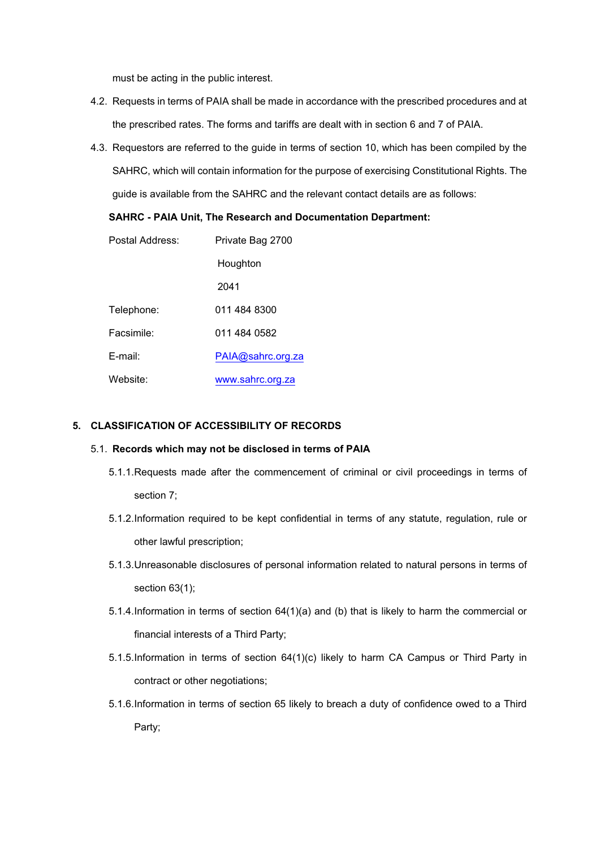must be acting in the public interest.

- 4.2. Requests in terms of PAIA shall be made in accordance with the prescribed procedures and at the prescribed rates. The forms and tariffs are dealt with in section 6 and 7 of PAIA.
- 4.3. Requestors are referred to the guide in terms of section 10, which has been compiled by the SAHRC, which will contain information for the purpose of exercising Constitutional Rights. The guide is available from the SAHRC and the relevant contact details are as follows:

**SAHRC - PAIA Unit, The Research and Documentation Department:** 

| Postal Address: | Private Bag 2700  |  |  |
|-----------------|-------------------|--|--|
|                 | Houghton          |  |  |
|                 | 2041              |  |  |
| Telephone:      | 011 484 8300      |  |  |
| Facsimile:      | 011 484 0582      |  |  |
| E-mail:         | PAIA@sahrc.org.za |  |  |
| Website:        | www.sahrc.org.za  |  |  |

### **5. CLASSIFICATION OF ACCESSIBILITY OF RECORDS**

#### 5.1. **Records which may not be disclosed in terms of PAIA**

- 5.1.1.Requests made after the commencement of criminal or civil proceedings in terms of section 7;
- 5.1.2.Information required to be kept confidential in terms of any statute, regulation, rule or other lawful prescription;
- 5.1.3.Unreasonable disclosures of personal information related to natural persons in terms of section 63(1);
- 5.1.4.Information in terms of section 64(1)(a) and (b) that is likely to harm the commercial or financial interests of a Third Party;
- 5.1.5.Information in terms of section 64(1)(c) likely to harm CA Campus or Third Party in contract or other negotiations;
- 5.1.6.Information in terms of section 65 likely to breach a duty of confidence owed to a Third Party;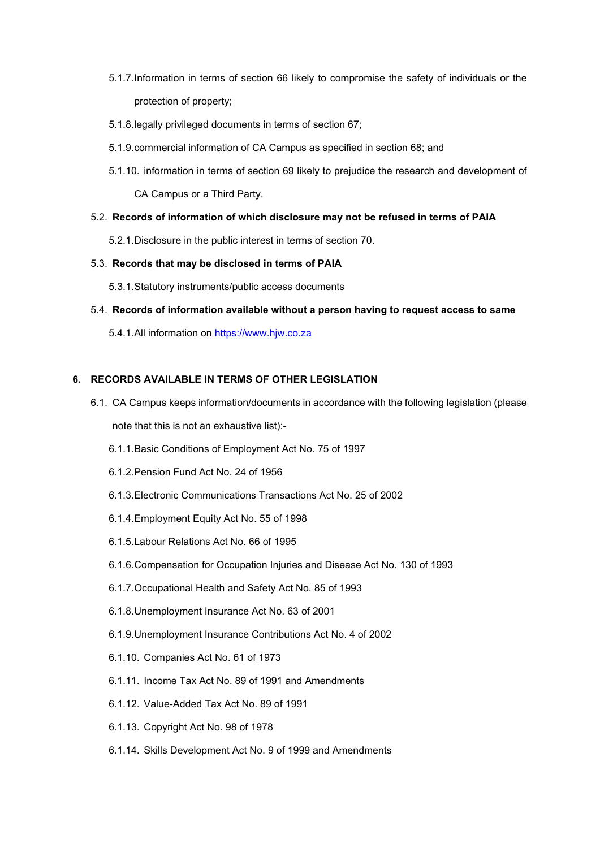- 5.1.7.Information in terms of section 66 likely to compromise the safety of individuals or the protection of property;
- 5.1.8.legally privileged documents in terms of section 67;
- 5.1.9.commercial information of CA Campus as specified in section 68; and
- 5.1.10. information in terms of section 69 likely to prejudice the research and development of CA Campus or a Third Party.
- 5.2. **Records of information of which disclosure may not be refused in terms of PAIA**
	- 5.2.1.Disclosure in the public interest in terms of section 70.
- 5.3. **Records that may be disclosed in terms of PAIA**
	- 5.3.1.Statutory instruments/public access documents
- 5.4. **Records of information available without a person having to request access to same**
	- 5.4.1.All information on<https://www.hjw.co.za>

#### **6. RECORDS AVAILABLE IN TERMS OF OTHER LEGISLATION**

- 6.1. CA Campus keeps information/documents in accordance with the following legislation (please note that this is not an exhaustive list):-
	- 6.1.1.Basic Conditions of Employment Act No. 75 of 1997
	- 6.1.2.Pension Fund Act No. 24 of 1956
	- 6.1.3.Electronic Communications Transactions Act No. 25 of 2002
	- 6.1.4.Employment Equity Act No. 55 of 1998
	- 6.1.5.Labour Relations Act No. 66 of 1995
	- 6.1.6.Compensation for Occupation Injuries and Disease Act No. 130 of 1993
	- 6.1.7.Occupational Health and Safety Act No. 85 of 1993
	- 6.1.8.Unemployment Insurance Act No. 63 of 2001
	- 6.1.9.Unemployment Insurance Contributions Act No. 4 of 2002
	- 6.1.10. Companies Act No. 61 of 1973
	- 6.1.11. Income Tax Act No. 89 of 1991 and Amendments
	- 6.1.12. Value-Added Tax Act No. 89 of 1991
	- 6.1.13. Copyright Act No. 98 of 1978
	- 6.1.14. Skills Development Act No. 9 of 1999 and Amendments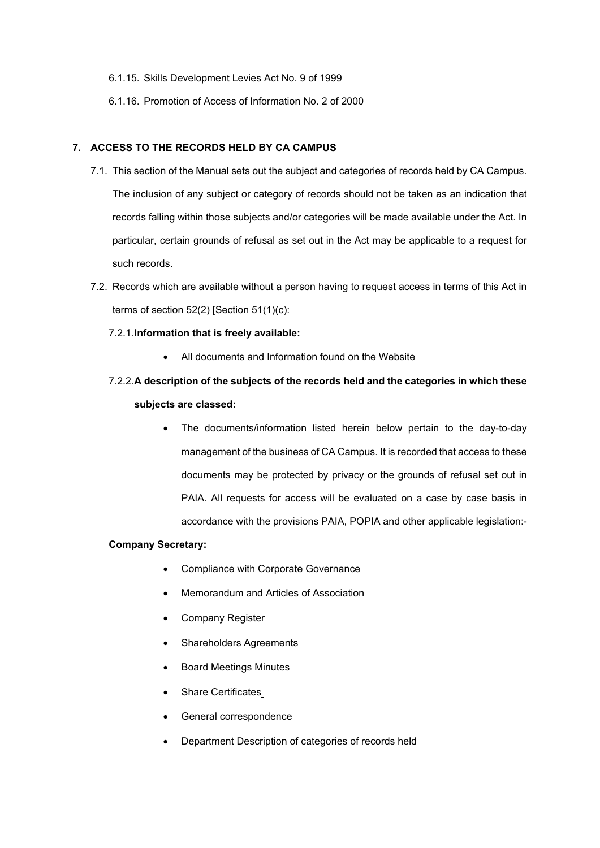- 6.1.15. Skills Development Levies Act No. 9 of 1999
- 6.1.16. Promotion of Access of Information No. 2 of 2000

#### **7. ACCESS TO THE RECORDS HELD BY CA CAMPUS**

- 7.1. This section of the Manual sets out the subject and categories of records held by CA Campus. The inclusion of any subject or category of records should not be taken as an indication that records falling within those subjects and/or categories will be made available under the Act. In particular, certain grounds of refusal as set out in the Act may be applicable to a request for such records.
- 7.2. Records which are available without a person having to request access in terms of this Act in terms of section 52(2) [Section 51(1)(c):
	- 7.2.1.**Information that is freely available:**
		- All documents and Information found on the Website
	- 7.2.2.**A description of the subjects of the records held and the categories in which these subjects are classed:**
		- The documents/information listed herein below pertain to the day-to-day management of the business of CA Campus. It is recorded that access to these documents may be protected by privacy or the grounds of refusal set out in PAIA. All requests for access will be evaluated on a case by case basis in accordance with the provisions PAIA, POPIA and other applicable legislation:-

# **Company Secretary:**

- Compliance with Corporate Governance
- Memorandum and Articles of Association
- Company Register
- Shareholders Agreements
- Board Meetings Minutes
- Share Certificates
- General correspondence
- Department Description of categories of records held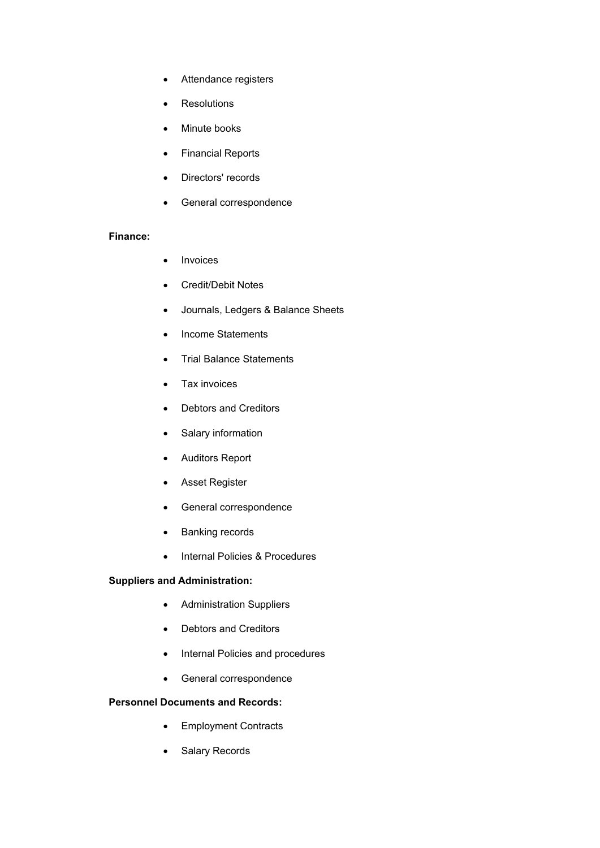- Attendance registers
- Resolutions
- Minute books
- Financial Reports
- Directors' records
- General correspondence

### **Finance:**

- Invoices
- Credit/Debit Notes
- Journals, Ledgers & Balance Sheets
- Income Statements
- Trial Balance Statements
- Tax invoices
- Debtors and Creditors
- Salary information
- Auditors Report
- Asset Register
- General correspondence
- Banking records
- Internal Policies & Procedures

### **Suppliers and Administration:**

- Administration Suppliers
- Debtors and Creditors
- Internal Policies and procedures
- General correspondence

# **Personnel Documents and Records:**

- Employment Contracts
- Salary Records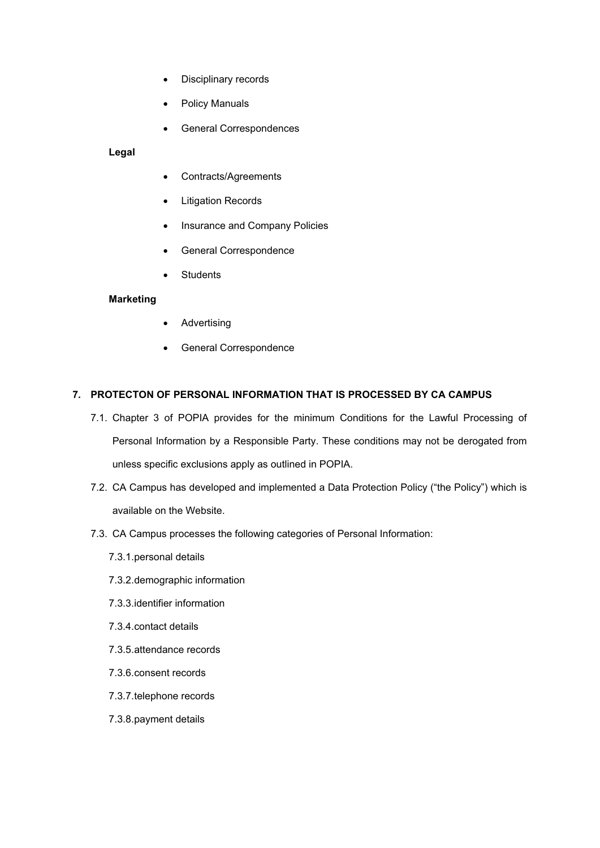- Disciplinary records
- Policy Manuals
- General Correspondences

# **Legal**

- Contracts/Agreements
- Litigation Records
- Insurance and Company Policies
- General Correspondence
- Students

### **Marketing**

- Advertising
- General Correspondence

# **7. PROTECTON OF PERSONAL INFORMATION THAT IS PROCESSED BY CA CAMPUS**

- 7.1. Chapter 3 of POPIA provides for the minimum Conditions for the Lawful Processing of Personal Information by a Responsible Party. These conditions may not be derogated from unless specific exclusions apply as outlined in POPIA.
- 7.2. CA Campus has developed and implemented a Data Protection Policy ("the Policy") which is available on the Website.
- 7.3. CA Campus processes the following categories of Personal Information:
	- 7.3.1.personal details
	- 7.3.2.demographic information
	- 7.3.3.identifier information
	- 7.3.4.contact details
	- 7.3.5.attendance records
	- 7.3.6.consent records
	- 7.3.7.telephone records
	- 7.3.8.payment details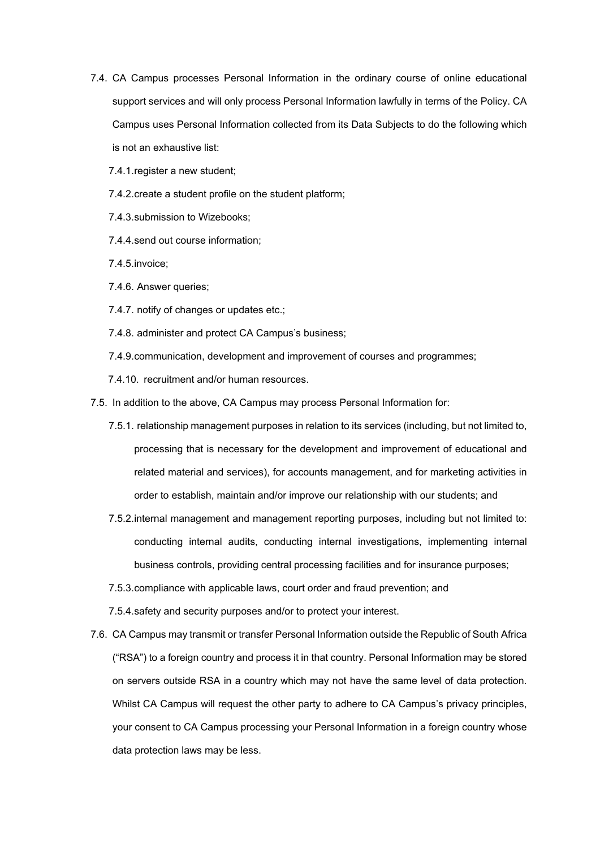- 7.4. CA Campus processes Personal Information in the ordinary course of online educational support services and will only process Personal Information lawfully in terms of the Policy. CA Campus uses Personal Information collected from its Data Subjects to do the following which is not an exhaustive list:
	- 7.4.1.register a new student;
	- 7.4.2.create a student profile on the student platform;
	- 7.4.3.submission to Wizebooks;
	- 7.4.4.send out course information;
	- 7.4.5.invoice;
	- 7.4.6. Answer queries;
	- 7.4.7. notify of changes or updates etc.;
	- 7.4.8. administer and protect CA Campus's business;
	- 7.4.9.communication, development and improvement of courses and programmes;
	- 7.4.10. recruitment and/or human resources.
- 7.5. In addition to the above, CA Campus may process Personal Information for:
	- 7.5.1. relationship management purposes in relation to its services (including, but not limited to, processing that is necessary for the development and improvement of educational and related material and services), for accounts management, and for marketing activities in order to establish, maintain and/or improve our relationship with our students; and
	- 7.5.2.internal management and management reporting purposes, including but not limited to: conducting internal audits, conducting internal investigations, implementing internal business controls, providing central processing facilities and for insurance purposes;
	- 7.5.3.compliance with applicable laws, court order and fraud prevention; and
	- 7.5.4.safety and security purposes and/or to protect your interest.
- 7.6. CA Campus may transmit or transfer Personal Information outside the Republic of South Africa ("RSA") to a foreign country and process it in that country. Personal Information may be stored on servers outside RSA in a country which may not have the same level of data protection. Whilst CA Campus will request the other party to adhere to CA Campus's privacy principles, your consent to CA Campus processing your Personal Information in a foreign country whose data protection laws may be less.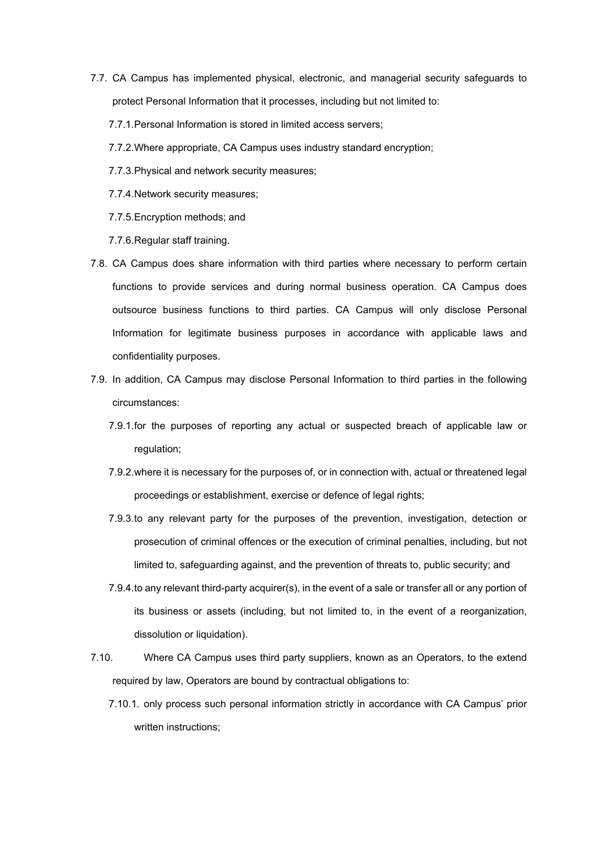- 7.7. CA Campus has implemented physical, electronic, and managerial security safeguards to protect Personal Information that it processes, including but not limited to:
	- 7.7.1.Personal Information is stored in limited access servers;
	- 7.7.2.Where appropriate, CA Campus uses industry standard encryption;
	- 7.7.3.Physical and network security measures;
	- 7.7.4.Network security measures;
	- 7.7.5.Encryption methods; and
	- 7.7.6.Regular staff training.
- 7.8. CA Campus does share information with third parties where necessary to perform certain functions to provide services and during normal business operation. CA Campus does outsource business functions to third parties. CA Campus will only disclose Personal Information for legitimate business purposes in accordance with applicable laws and confidentiality purposes.
- 7.9. In addition, CA Campus may disclose Personal Information to third parties in the following circumstances:
	- 7.9.1.for the purposes of reporting any actual or suspected breach of applicable law or regulation:
	- 7.9.2.where it is necessary for the purposes of, or in connection with, actual or threatened legal proceedings or establishment, exercise or defence of legal rights;
	- 7.9.3.to any relevant party for the purposes of the prevention, investigation, detection or prosecution of criminal offences or the execution of criminal penalties, including, but not limited to, safeguarding against, and the prevention of threats to, public security; and
	- 7.9.4.to any relevant third-party acquirer(s), in the event of a sale or transfer all or any portion of its business or assets (including, but not limited to, in the event of a reorganization, dissolution or liquidation).
- 7.10. Where CA Campus uses third party suppliers, known as an Operators, to the extend required by law, Operators are bound by contractual obligations to:
	- 7.10.1. only process such personal information strictly in accordance with CA Campus' prior written instructions;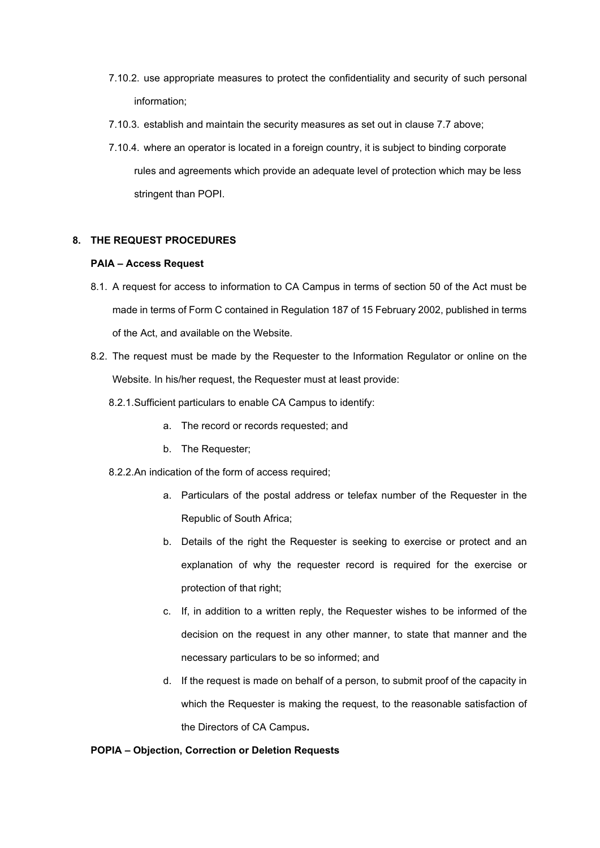- 7.10.2. use appropriate measures to protect the confidentiality and security of such personal information;
- 7.10.3. establish and maintain the security measures as set out in clause 7.7 above;
- 7.10.4. where an operator is located in a foreign country, it is subject to binding corporate rules and agreements which provide an adequate level of protection which may be less stringent than POPI.

### **8. THE REQUEST PROCEDURES**

#### **PAIA – Access Request**

- 8.1. A request for access to information to CA Campus in terms of section 50 of the Act must be made in terms of Form C contained in Regulation 187 of 15 February 2002, published in terms of the Act, and available on the Website.
- 8.2. The request must be made by the Requester to the Information Regulator or online on the Website. In his/her request, the Requester must at least provide:
	- 8.2.1.Sufficient particulars to enable CA Campus to identify:
		- a. The record or records requested; and
		- b. The Requester;
	- 8.2.2.An indication of the form of access required;
		- a. Particulars of the postal address or telefax number of the Requester in the Republic of South Africa;
		- b. Details of the right the Requester is seeking to exercise or protect and an explanation of why the requester record is required for the exercise or protection of that right;
		- c. If, in addition to a written reply, the Requester wishes to be informed of the decision on the request in any other manner, to state that manner and the necessary particulars to be so informed; and
		- d. If the request is made on behalf of a person, to submit proof of the capacity in which the Requester is making the request, to the reasonable satisfaction of the Directors of CA Campus**.**

#### **POPIA – Objection, Correction or Deletion Requests**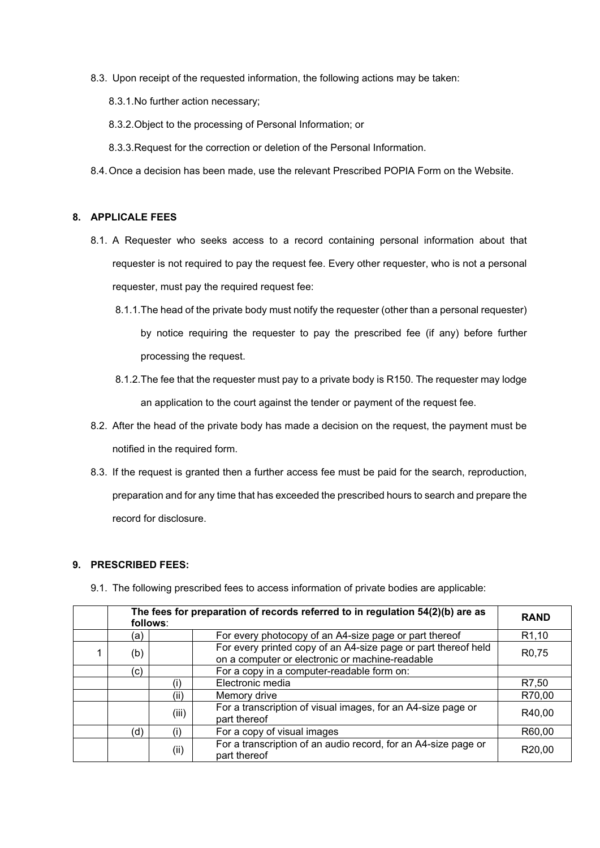8.3. Upon receipt of the requested information, the following actions may be taken:

8.3.1.No further action necessary;

- 8.3.2.Object to the processing of Personal Information; or
- 8.3.3.Request for the correction or deletion of the Personal Information.
- 8.4.Once a decision has been made, use the relevant Prescribed POPIA Form on the Website.

# **8. APPLICALE FEES**

- 8.1. A Requester who seeks access to a record containing personal information about that requester is not required to pay the request fee. Every other requester, who is not a personal requester, must pay the required request fee:
	- 8.1.1.The head of the private body must notify the requester (other than a personal requester) by notice requiring the requester to pay the prescribed fee (if any) before further processing the request.
	- 8.1.2.The fee that the requester must pay to a private body is R150. The requester may lodge an application to the court against the tender or payment of the request fee.
- 8.2. After the head of the private body has made a decision on the request, the payment must be notified in the required form.
- 8.3. If the request is granted then a further access fee must be paid for the search, reproduction, preparation and for any time that has exceeded the prescribed hours to search and prepare the record for disclosure.

#### **9. PRESCRIBED FEES:**

| The fees for preparation of records referred to in regulation 54(2)(b) are as<br>follows: |       |                                                                                                                   |                    |
|-------------------------------------------------------------------------------------------|-------|-------------------------------------------------------------------------------------------------------------------|--------------------|
| (a)                                                                                       |       | For every photocopy of an A4-size page or part thereof                                                            | R <sub>1</sub> ,10 |
| (b)                                                                                       |       | For every printed copy of an A4-size page or part thereof held<br>on a computer or electronic or machine-readable | R <sub>0</sub> ,75 |
| (c)                                                                                       |       | For a copy in a computer-readable form on:                                                                        |                    |
|                                                                                           |       | Electronic media                                                                                                  | R7,50              |
|                                                                                           | (ii)  | Memory drive                                                                                                      | R70,00             |
|                                                                                           | (iii) | For a transcription of visual images, for an A4-size page or<br>part thereof                                      | R40,00             |
| (d)                                                                                       |       | For a copy of visual images                                                                                       | R60,00             |
|                                                                                           | (i)   | For a transcription of an audio record, for an A4-size page or<br>part thereof                                    | R20,00             |

9.1. The following prescribed fees to access information of private bodies are applicable: